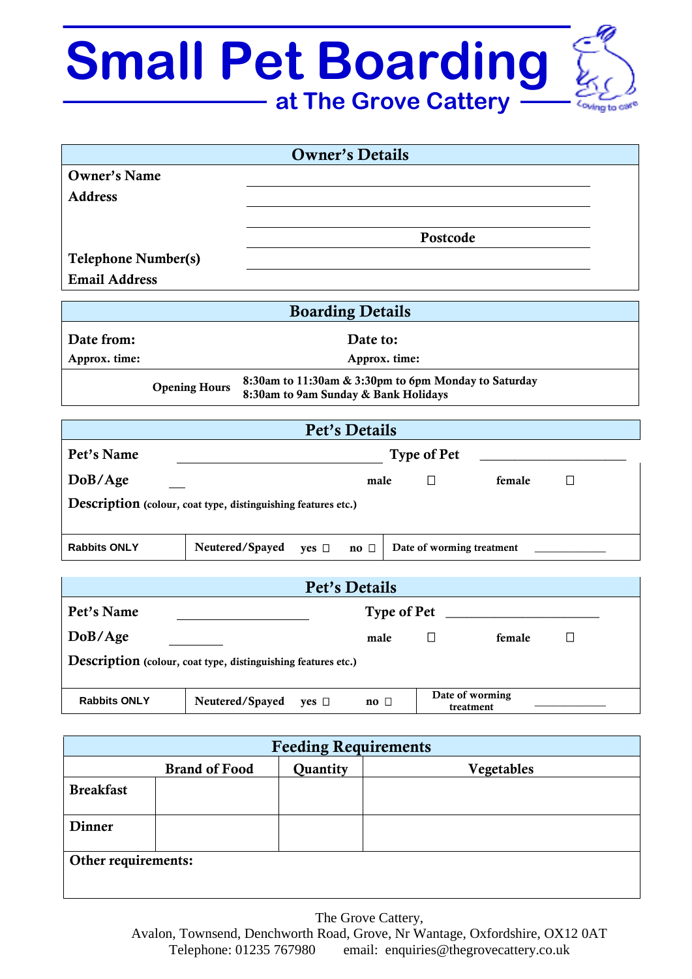## **Small Pet Boarding at The Grove Cattery**

|                                                                                                                      | <b>Owner's Details</b>                                                                |  |  |  |  |
|----------------------------------------------------------------------------------------------------------------------|---------------------------------------------------------------------------------------|--|--|--|--|
| <b>Owner's Name</b>                                                                                                  |                                                                                       |  |  |  |  |
| <b>Address</b>                                                                                                       |                                                                                       |  |  |  |  |
|                                                                                                                      |                                                                                       |  |  |  |  |
|                                                                                                                      | Postcode                                                                              |  |  |  |  |
| <b>Telephone Number(s)</b>                                                                                           |                                                                                       |  |  |  |  |
| <b>Email Address</b>                                                                                                 |                                                                                       |  |  |  |  |
|                                                                                                                      | <b>Boarding Details</b>                                                               |  |  |  |  |
| Date from:                                                                                                           | Date to:                                                                              |  |  |  |  |
| Approx. time:                                                                                                        | Approx. time:                                                                         |  |  |  |  |
| 8:30am to 11:30am & 3:30pm to 6pm Monday to Saturday<br><b>Opening Hours</b><br>8:30am to 9am Sunday & Bank Holidays |                                                                                       |  |  |  |  |
|                                                                                                                      | Pet's Details                                                                         |  |  |  |  |
| Pet's Name                                                                                                           | <b>Type of Pet</b>                                                                    |  |  |  |  |
| DoB/Age                                                                                                              | $\Box$<br>female<br>male<br>$\Box$                                                    |  |  |  |  |
| Description (colour, coat type, distinguishing features etc.)                                                        |                                                                                       |  |  |  |  |
| <b>Rabbits ONLY</b>                                                                                                  | Neutered/Spayed<br>Date of worming treatment<br>yes $\square$<br>$\mathbf{no}$ $\Box$ |  |  |  |  |
| Pet's Details                                                                                                        |                                                                                       |  |  |  |  |
| Pet's Name                                                                                                           | <b>Type of Pet</b>                                                                    |  |  |  |  |
| DoB/Age                                                                                                              | $\Box$<br>female<br>male<br>$\Box$                                                    |  |  |  |  |

**Rabbits ONLY** Neutered/Spayed yes □ no □ Date of worming treatment

Description (colour, coat type, distinguishing features etc.)

| <b>Feeding Requirements</b> |                      |          |            |  |  |  |
|-----------------------------|----------------------|----------|------------|--|--|--|
|                             | <b>Brand of Food</b> | Quantity | Vegetables |  |  |  |
| <b>Breakfast</b>            |                      |          |            |  |  |  |
| <b>Dinner</b>               |                      |          |            |  |  |  |
| Other requirements:         |                      |          |            |  |  |  |

The Grove Cattery, Avalon, Townsend, Denchworth Road, Grove, Nr Wantage, Oxfordshire, OX12 0AT Telephone: 01235 767980 email: enquiries@thegrovecattery.co.uk